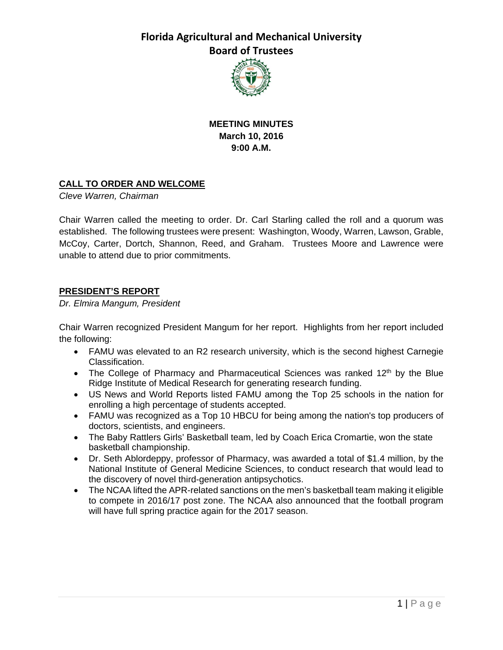

**MEETING MINUTES March 10, 2016 9:00 A.M.** 

### **CALL TO ORDER AND WELCOME**

*Cleve Warren, Chairman* 

Chair Warren called the meeting to order. Dr. Carl Starling called the roll and a quorum was established. The following trustees were present: Washington, Woody, Warren, Lawson, Grable, McCoy, Carter, Dortch, Shannon, Reed, and Graham. Trustees Moore and Lawrence were unable to attend due to prior commitments.

### **PRESIDENT'S REPORT**

*Dr. Elmira Mangum, President*

Chair Warren recognized President Mangum for her report. Highlights from her report included the following:

- FAMU was elevated to an R2 research university, which is the second highest Carnegie Classification.
- The College of Pharmacy and Pharmaceutical Sciences was ranked  $12<sup>th</sup>$  by the Blue Ridge Institute of Medical Research for generating research funding.
- US News and World Reports listed FAMU among the Top 25 schools in the nation for enrolling a high percentage of students accepted.
- FAMU was recognized as a Top 10 HBCU for being among the nation's top producers of doctors, scientists, and engineers.
- The Baby Rattlers Girls' Basketball team, led by Coach Erica Cromartie, won the state basketball championship.
- Dr. Seth Ablordeppy, professor of Pharmacy, was awarded a total of \$1.4 million, by the National Institute of General Medicine Sciences, to conduct research that would lead to the discovery of novel third-generation antipsychotics.
- The NCAA lifted the APR-related sanctions on the men's basketball team making it eligible to compete in 2016/17 post zone. The NCAA also announced that the football program will have full spring practice again for the 2017 season.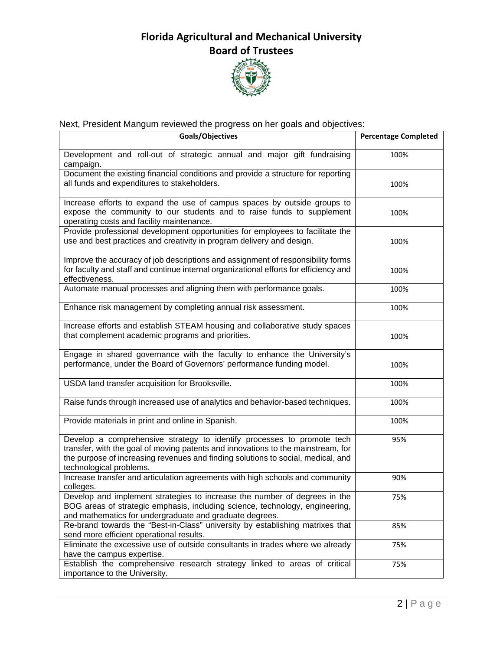

## Next, President Mangum reviewed the progress on her goals and objectives:

| Goals/Objectives                                                                                                                                                                                                                                                          | <b>Percentage Completed</b> |
|---------------------------------------------------------------------------------------------------------------------------------------------------------------------------------------------------------------------------------------------------------------------------|-----------------------------|
| Development and roll-out of strategic annual and major gift fundraising<br>campaign.                                                                                                                                                                                      | 100%                        |
| Document the existing financial conditions and provide a structure for reporting<br>all funds and expenditures to stakeholders.                                                                                                                                           | 100%                        |
| Increase efforts to expand the use of campus spaces by outside groups to<br>expose the community to our students and to raise funds to supplement<br>operating costs and facility maintenance.                                                                            | 100%                        |
| Provide professional development opportunities for employees to facilitate the<br>use and best practices and creativity in program delivery and design.                                                                                                                   | 100%                        |
| Improve the accuracy of job descriptions and assignment of responsibility forms<br>for faculty and staff and continue internal organizational efforts for efficiency and<br>effectiveness.                                                                                | 100%                        |
| Automate manual processes and aligning them with performance goals.                                                                                                                                                                                                       | 100%                        |
| Enhance risk management by completing annual risk assessment.                                                                                                                                                                                                             | 100%                        |
| Increase efforts and establish STEAM housing and collaborative study spaces<br>that complement academic programs and priorities.                                                                                                                                          | 100%                        |
| Engage in shared governance with the faculty to enhance the University's<br>performance, under the Board of Governors' performance funding model.                                                                                                                         | 100%                        |
| USDA land transfer acquisition for Brooksville.                                                                                                                                                                                                                           | 100%                        |
| Raise funds through increased use of analytics and behavior-based techniques.                                                                                                                                                                                             | 100%                        |
| Provide materials in print and online in Spanish.                                                                                                                                                                                                                         | 100%                        |
| Develop a comprehensive strategy to identify processes to promote tech<br>transfer, with the goal of moving patents and innovations to the mainstream, for<br>the purpose of increasing revenues and finding solutions to social, medical, and<br>technological problems. | 95%                         |
| Increase transfer and articulation agreements with high schools and community<br>colleges.                                                                                                                                                                                | 90%                         |
| Develop and implement strategies to increase the number of degrees in the<br>BOG areas of strategic emphasis, including science, technology, engineering,<br>and mathematics for undergraduate and graduate degrees.                                                      | 75%                         |
| Re-brand towards the "Best-in-Class" university by establishing matrixes that<br>send more efficient operational results.                                                                                                                                                 | 85%                         |
| Eliminate the excessive use of outside consultants in trades where we already<br>have the campus expertise.                                                                                                                                                               | 75%                         |
| Establish the comprehensive research strategy linked to areas of critical<br>importance to the University.                                                                                                                                                                | 75%                         |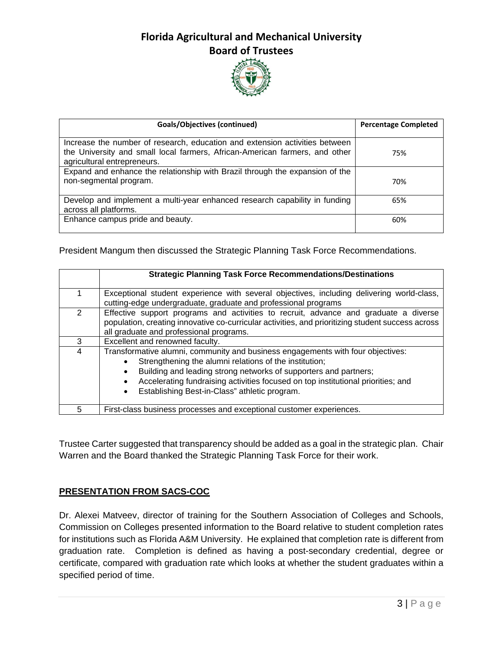

| <b>Goals/Objectives (continued)</b>                                                                                                                                                       | <b>Percentage Completed</b> |
|-------------------------------------------------------------------------------------------------------------------------------------------------------------------------------------------|-----------------------------|
| Increase the number of research, education and extension activities between<br>the University and small local farmers, African-American farmers, and other<br>agricultural entrepreneurs. | 75%                         |
| Expand and enhance the relationship with Brazil through the expansion of the<br>non-segmental program.                                                                                    | 70%                         |
| Develop and implement a multi-year enhanced research capability in funding<br>across all platforms.                                                                                       | 65%                         |
| Enhance campus pride and beauty.                                                                                                                                                          | 60%                         |

President Mangum then discussed the Strategic Planning Task Force Recommendations.

|   | <b>Strategic Planning Task Force Recommendations/Destinations</b>                                                                                                                                                                                                                                                                                  |
|---|----------------------------------------------------------------------------------------------------------------------------------------------------------------------------------------------------------------------------------------------------------------------------------------------------------------------------------------------------|
|   | Exceptional student experience with several objectives, including delivering world-class,<br>cutting-edge undergraduate, graduate and professional programs                                                                                                                                                                                        |
|   | Effective support programs and activities to recruit, advance and graduate a diverse<br>population, creating innovative co-curricular activities, and prioritizing student success across<br>all graduate and professional programs.                                                                                                               |
| 3 | Excellent and renowned faculty.                                                                                                                                                                                                                                                                                                                    |
| 4 | Transformative alumni, community and business engagements with four objectives:<br>Strengthening the alumni relations of the institution;<br>Building and leading strong networks of supporters and partners;<br>Accelerating fundraising activities focused on top institutional priorities; and<br>Establishing Best-in-Class" athletic program. |
| 5 | First-class business processes and exceptional customer experiences.                                                                                                                                                                                                                                                                               |

Trustee Carter suggested that transparency should be added as a goal in the strategic plan. Chair Warren and the Board thanked the Strategic Planning Task Force for their work.

### **PRESENTATION FROM SACS-COC**

Dr. Alexei Matveev, director of training for the Southern Association of Colleges and Schools, Commission on Colleges presented information to the Board relative to student completion rates for institutions such as Florida A&M University. He explained that completion rate is different from graduation rate. Completion is defined as having a post-secondary credential, degree or certificate, compared with graduation rate which looks at whether the student graduates within a specified period of time.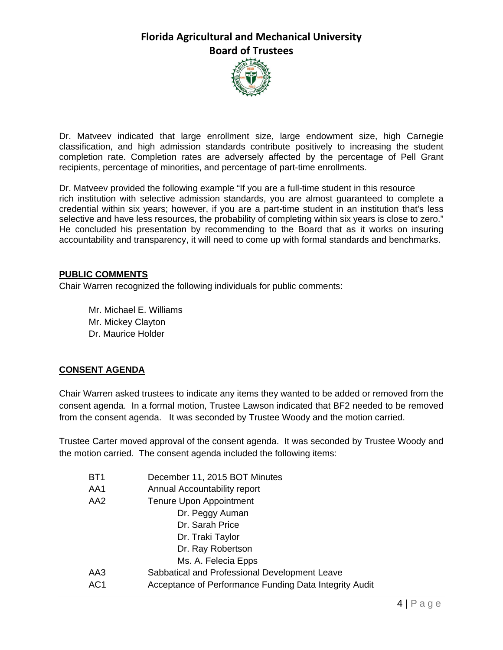

Dr. Matveev indicated that large enrollment size, large endowment size, high Carnegie classification, and high admission standards contribute positively to increasing the student completion rate. Completion rates are adversely affected by the percentage of Pell Grant recipients, percentage of minorities, and percentage of part-time enrollments.

Dr. Matveev provided the following example "If you are a full-time student in this resource rich institution with selective admission standards, you are almost guaranteed to complete a credential within six years; however, if you are a part-time student in an institution that's less selective and have less resources, the probability of completing within six years is close to zero." He concluded his presentation by recommending to the Board that as it works on insuring accountability and transparency, it will need to come up with formal standards and benchmarks.

#### **PUBLIC COMMENTS**

Chair Warren recognized the following individuals for public comments:

 Mr. Michael E. Williams Mr. Mickey Clayton Dr. Maurice Holder

### **CONSENT AGENDA**

Chair Warren asked trustees to indicate any items they wanted to be added or removed from the consent agenda. In a formal motion, Trustee Lawson indicated that BF2 needed to be removed from the consent agenda. It was seconded by Trustee Woody and the motion carried.

Trustee Carter moved approval of the consent agenda. It was seconded by Trustee Woody and the motion carried. The consent agenda included the following items:

| BT <sub>1</sub> | December 11, 2015 BOT Minutes                          |
|-----------------|--------------------------------------------------------|
| AA1             | Annual Accountability report                           |
| AA2             | <b>Tenure Upon Appointment</b>                         |
|                 | Dr. Peggy Auman                                        |
|                 | Dr. Sarah Price                                        |
|                 | Dr. Traki Taylor                                       |
|                 | Dr. Ray Robertson                                      |
|                 | Ms. A. Felecia Epps                                    |
| AA3             | Sabbatical and Professional Development Leave          |
| AC1             | Acceptance of Performance Funding Data Integrity Audit |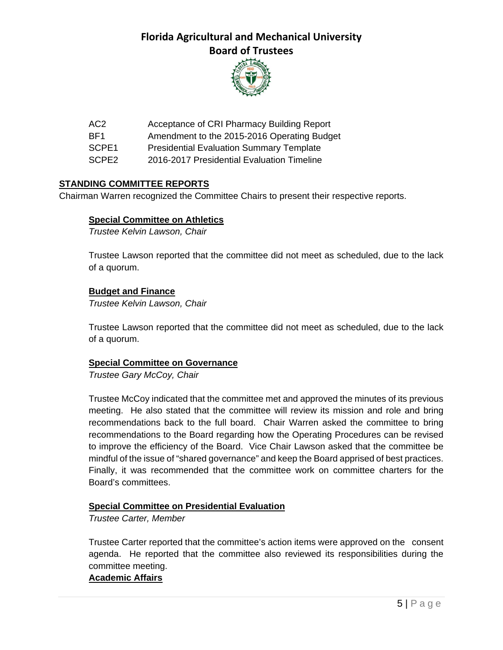

AC2 Acceptance of CRI Pharmacy Building Report

BF1 Amendment to the 2015-2016 Operating Budget

SCPE1 Presidential Evaluation Summary Template

SCPE2 2016-2017 Presidential Evaluation Timeline

#### **STANDING COMMITTEE REPORTS**

Chairman Warren recognized the Committee Chairs to present their respective reports.

#### **Special Committee on Athletics**

*Trustee Kelvin Lawson, Chair* 

Trustee Lawson reported that the committee did not meet as scheduled, due to the lack of a quorum.

#### **Budget and Finance**

*Trustee Kelvin Lawson, Chair*

Trustee Lawson reported that the committee did not meet as scheduled, due to the lack of a quorum.

#### **Special Committee on Governance**

*Trustee Gary McCoy, Chair* 

Trustee McCoy indicated that the committee met and approved the minutes of its previous meeting. He also stated that the committee will review its mission and role and bring recommendations back to the full board. Chair Warren asked the committee to bring recommendations to the Board regarding how the Operating Procedures can be revised to improve the efficiency of the Board. Vice Chair Lawson asked that the committee be mindful of the issue of "shared governance" and keep the Board apprised of best practices. Finally, it was recommended that the committee work on committee charters for the Board's committees.

#### **Special Committee on Presidential Evaluation**

*Trustee Carter, Member* 

Trustee Carter reported that the committee's action items were approved on the consent agenda. He reported that the committee also reviewed its responsibilities during the committee meeting.

#### **Academic Affairs**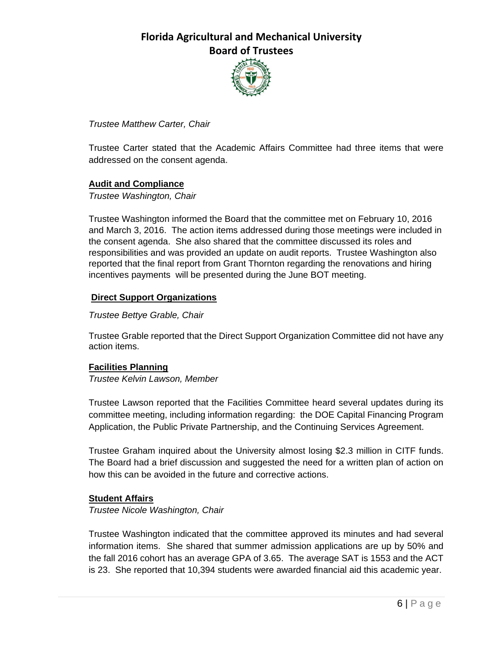

#### *Trustee Matthew Carter, Chair*

Trustee Carter stated that the Academic Affairs Committee had three items that were addressed on the consent agenda.

#### **Audit and Compliance**

*Trustee Washington, Chair*

Trustee Washington informed the Board that the committee met on February 10, 2016 and March 3, 2016. The action items addressed during those meetings were included in the consent agenda. She also shared that the committee discussed its roles and responsibilities and was provided an update on audit reports. Trustee Washington also reported that the final report from Grant Thornton regarding the renovations and hiring incentives payments will be presented during the June BOT meeting.

#### **Direct Support Organizations**

#### *Trustee Bettye Grable, Chair*

Trustee Grable reported that the Direct Support Organization Committee did not have any action items.

#### **Facilities Planning**

*Trustee Kelvin Lawson, Member*

Trustee Lawson reported that the Facilities Committee heard several updates during its committee meeting, including information regarding: the DOE Capital Financing Program Application, the Public Private Partnership, and the Continuing Services Agreement.

Trustee Graham inquired about the University almost losing \$2.3 million in CITF funds. The Board had a brief discussion and suggested the need for a written plan of action on how this can be avoided in the future and corrective actions.

#### **Student Affairs**

*Trustee Nicole Washington, Chair*

Trustee Washington indicated that the committee approved its minutes and had several information items. She shared that summer admission applications are up by 50% and the fall 2016 cohort has an average GPA of 3.65. The average SAT is 1553 and the ACT is 23. She reported that 10,394 students were awarded financial aid this academic year.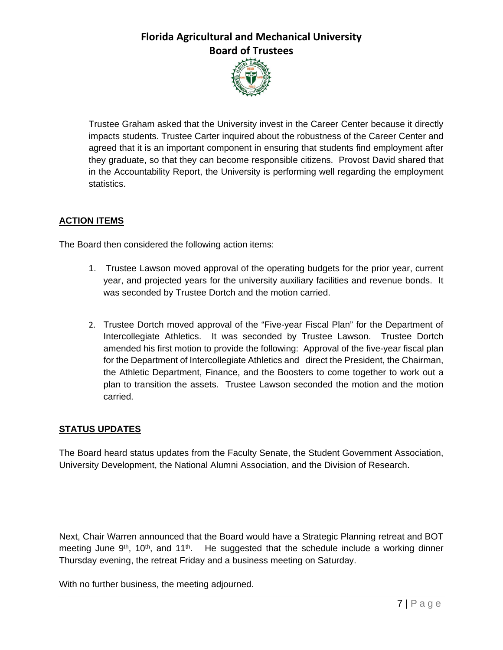

Trustee Graham asked that the University invest in the Career Center because it directly impacts students. Trustee Carter inquired about the robustness of the Career Center and agreed that it is an important component in ensuring that students find employment after they graduate, so that they can become responsible citizens. Provost David shared that in the Accountability Report, the University is performing well regarding the employment statistics.

### **ACTION ITEMS**

The Board then considered the following action items:

- 1. Trustee Lawson moved approval of the operating budgets for the prior year, current year, and projected years for the university auxiliary facilities and revenue bonds. It was seconded by Trustee Dortch and the motion carried.
- 2. Trustee Dortch moved approval of the "Five-year Fiscal Plan" for the Department of Intercollegiate Athletics. It was seconded by Trustee Lawson. Trustee Dortch amended his first motion to provide the following: Approval of the five-year fiscal plan for the Department of Intercollegiate Athletics and direct the President, the Chairman, the Athletic Department, Finance, and the Boosters to come together to work out a plan to transition the assets. Trustee Lawson seconded the motion and the motion carried.

### **STATUS UPDATES**

The Board heard status updates from the Faculty Senate, the Student Government Association, University Development, the National Alumni Association, and the Division of Research.

Next, Chair Warren announced that the Board would have a Strategic Planning retreat and BOT meeting June  $9<sup>th</sup>$ , 10<sup>th</sup>, and 11<sup>th</sup>. He suggested that the schedule include a working dinner Thursday evening, the retreat Friday and a business meeting on Saturday.

With no further business, the meeting adjourned.